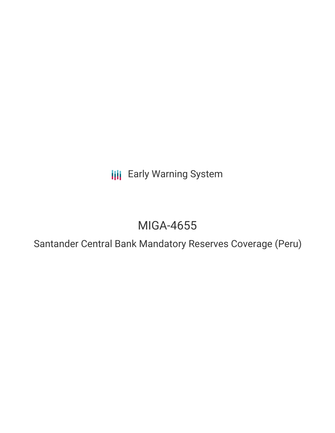**III** Early Warning System

# MIGA-4655

Santander Central Bank Mandatory Reserves Coverage (Peru)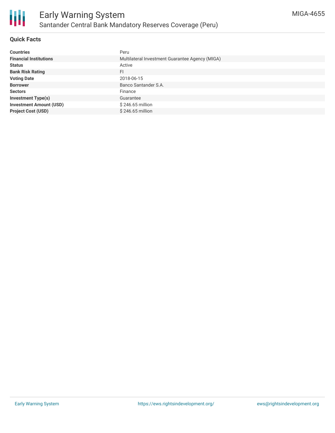

#### **Quick Facts**

| <b>Countries</b>               | Peru                                            |
|--------------------------------|-------------------------------------------------|
| <b>Financial Institutions</b>  | Multilateral Investment Guarantee Agency (MIGA) |
| <b>Status</b>                  | Active                                          |
| <b>Bank Risk Rating</b>        | FI                                              |
| <b>Voting Date</b>             | 2018-06-15                                      |
| <b>Borrower</b>                | Banco Santander S.A.                            |
| <b>Sectors</b>                 | Finance                                         |
| <b>Investment Type(s)</b>      | Guarantee                                       |
| <b>Investment Amount (USD)</b> | \$246.65 million                                |
| <b>Project Cost (USD)</b>      | \$246.65 million                                |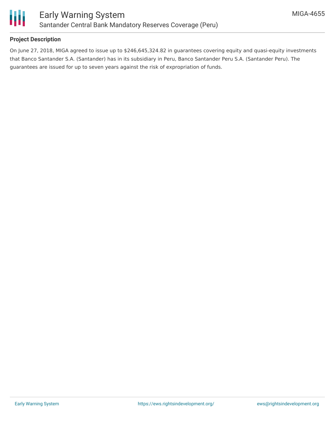

#### **Project Description**

On June 27, 2018, MIGA agreed to issue up to \$246,645,324.82 in guarantees covering equity and quasi-equity investments that Banco Santander S.A. (Santander) has in its subsidiary in Peru, Banco Santander Peru S.A. (Santander Peru). The guarantees are issued for up to seven years against the risk of expropriation of funds.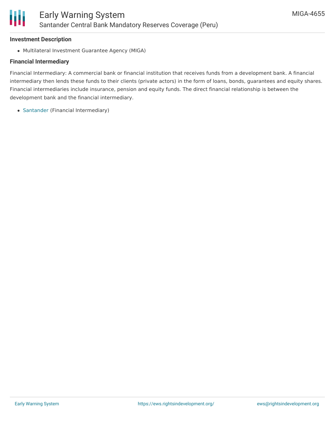#### **Investment Description**

Multilateral Investment Guarantee Agency (MIGA)

#### **Financial Intermediary**

Financial Intermediary: A commercial bank or financial institution that receives funds from a development bank. A financial intermediary then lends these funds to their clients (private actors) in the form of loans, bonds, guarantees and equity shares. Financial intermediaries include insurance, pension and equity funds. The direct financial relationship is between the development bank and the financial intermediary.

[Santander](file:///actor/64/) (Financial Intermediary)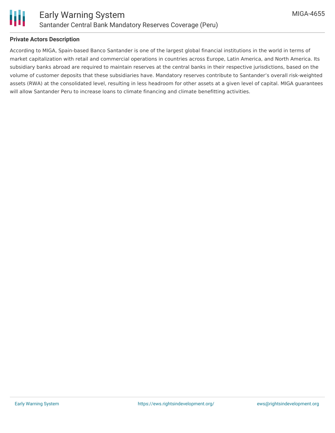

#### **Private Actors Description**

According to MIGA, Spain-based Banco Santander is one of the largest global financial institutions in the world in terms of market capitalization with retail and commercial operations in countries across Europe, Latin America, and North America. Its subsidiary banks abroad are required to maintain reserves at the central banks in their respective jurisdictions, based on the volume of customer deposits that these subsidiaries have. Mandatory reserves contribute to Santander's overall risk-weighted assets (RWA) at the consolidated level, resulting in less headroom for other assets at a given level of capital. MIGA guarantees will allow Santander Peru to increase loans to climate financing and climate benefitting activities.